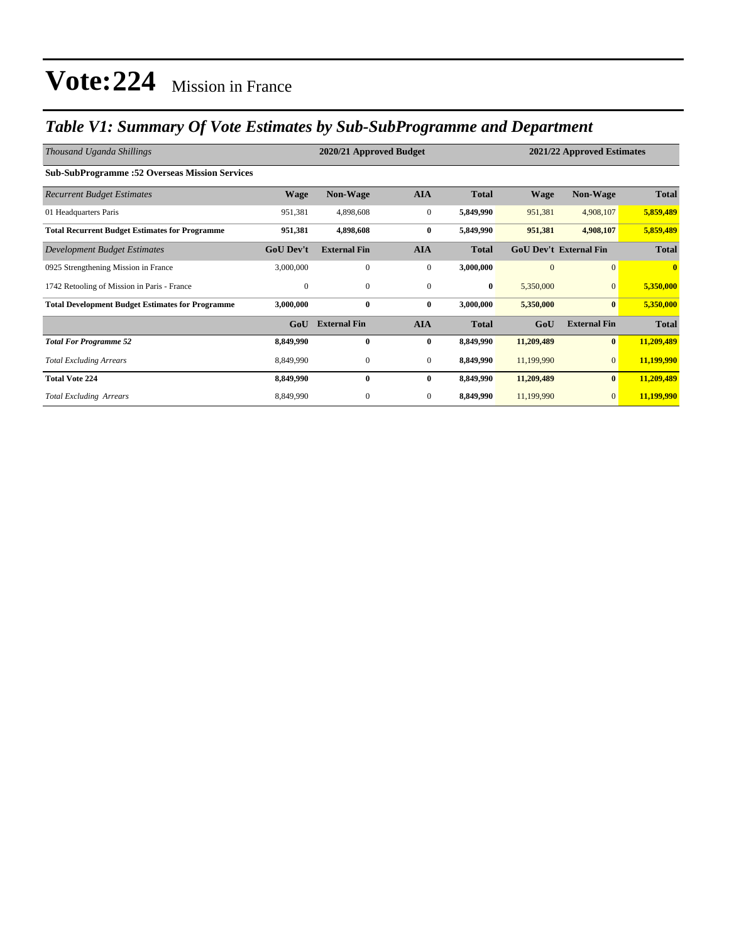### *Table V1: Summary Of Vote Estimates by Sub-SubProgramme and Department*

| Thousand Uganda Shillings                               |                  | 2020/21 Approved Budget<br>2021/22 Approved Estimates |                  |              |              |                               |              |  |  |
|---------------------------------------------------------|------------------|-------------------------------------------------------|------------------|--------------|--------------|-------------------------------|--------------|--|--|
| <b>Sub-SubProgramme: 52 Overseas Mission Services</b>   |                  |                                                       |                  |              |              |                               |              |  |  |
| <b>Recurrent Budget Estimates</b>                       | <b>Wage</b>      | <b>Non-Wage</b>                                       | <b>AIA</b>       | <b>Total</b> | <b>Wage</b>  | <b>Non-Wage</b>               | <b>Total</b> |  |  |
| 01 Headquarters Paris                                   | 951,381          | 4,898,608                                             | $\boldsymbol{0}$ | 5,849,990    | 951,381      | 4,908,107                     | 5,859,489    |  |  |
| <b>Total Recurrent Budget Estimates for Programme</b>   | 951,381          | 4,898,608                                             | $\bf{0}$         | 5,849,990    | 951,381      | 4,908,107                     | 5,859,489    |  |  |
| Development Budget Estimates                            | <b>GoU Dev't</b> | <b>External Fin</b>                                   | <b>AIA</b>       | <b>Total</b> |              | <b>GoU Dev't External Fin</b> | <b>Total</b> |  |  |
| 0925 Strengthening Mission in France                    | 3,000,000        | $\mathbf{0}$                                          | $\boldsymbol{0}$ | 3,000,000    | $\mathbf{0}$ | $\overline{0}$                | $\bf{0}$     |  |  |
| 1742 Retooling of Mission in Paris - France             | $\mathbf{0}$     | $\mathbf{0}$                                          | $\mathbf{0}$     | $\bf{0}$     | 5,350,000    | $\overline{0}$                | 5,350,000    |  |  |
| <b>Total Development Budget Estimates for Programme</b> | 3,000,000        | $\bf{0}$                                              | $\bf{0}$         | 3,000,000    | 5,350,000    | $\bf{0}$                      | 5,350,000    |  |  |
|                                                         | GoU              | <b>External Fin</b>                                   | <b>AIA</b>       | <b>Total</b> | GoU          | <b>External Fin</b>           | <b>Total</b> |  |  |
| <b>Total For Programme 52</b>                           | 8,849,990        | 0                                                     | $\bf{0}$         | 8,849,990    | 11,209,489   | $\bf{0}$                      | 11,209,489   |  |  |
| <b>Total Excluding Arrears</b>                          | 8,849,990        | 0                                                     | $\boldsymbol{0}$ | 8,849,990    | 11,199,990   | $\overline{0}$                | 11,199,990   |  |  |
| <b>Total Vote 224</b>                                   | 8,849,990        | $\bf{0}$                                              | $\bf{0}$         | 8,849,990    | 11,209,489   | $\bf{0}$                      | 11,209,489   |  |  |
| <b>Total Excluding Arrears</b>                          | 8,849,990        | $\mathbf{0}$                                          | $\mathbf{0}$     | 8,849,990    | 11,199,990   | $\mathbf{0}$                  | 11,199,990   |  |  |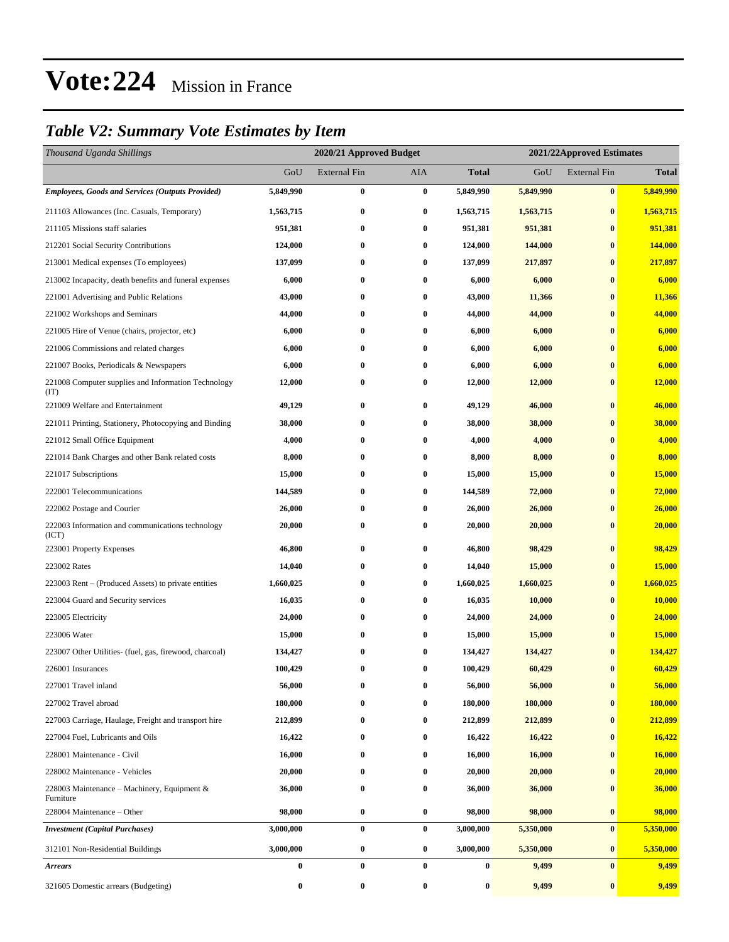### *Table V2: Summary Vote Estimates by Item*

| Thousand Uganda Shillings                                   |           | 2020/21 Approved Budget |            |                  | 2021/22Approved Estimates |                     |              |  |  |
|-------------------------------------------------------------|-----------|-------------------------|------------|------------------|---------------------------|---------------------|--------------|--|--|
|                                                             | GoU       | <b>External Fin</b>     | <b>AIA</b> | <b>Total</b>     | GoU                       | <b>External Fin</b> | <b>Total</b> |  |  |
| <b>Employees, Goods and Services (Outputs Provided)</b>     | 5,849,990 | 0                       | $\bf{0}$   | 5,849,990        | 5,849,990                 | $\bf{0}$            | 5,849,990    |  |  |
| 211103 Allowances (Inc. Casuals, Temporary)                 | 1,563,715 | $\bf{0}$                | $\bf{0}$   | 1,563,715        | 1,563,715                 | $\bf{0}$            | 1,563,715    |  |  |
| 211105 Missions staff salaries                              | 951,381   | $\bf{0}$                | $\bf{0}$   | 951,381          | 951,381                   | $\bf{0}$            | 951,381      |  |  |
| 212201 Social Security Contributions                        | 124,000   | 0                       | $\bf{0}$   | 124,000          | 144,000                   | $\bf{0}$            | 144,000      |  |  |
| 213001 Medical expenses (To employees)                      | 137,099   | $\bf{0}$                | $\bf{0}$   | 137,099          | 217,897                   | $\bf{0}$            | 217,897      |  |  |
| 213002 Incapacity, death benefits and funeral expenses      | 6,000     | $\bf{0}$                | $\bf{0}$   | 6,000            | 6,000                     | $\bf{0}$            | 6,000        |  |  |
| 221001 Advertising and Public Relations                     | 43,000    | 0                       | $\bf{0}$   | 43,000           | 11,366                    | $\bf{0}$            | 11,366       |  |  |
| 221002 Workshops and Seminars                               | 44,000    | 0                       | $\bf{0}$   | 44,000           | 44,000                    | $\bf{0}$            | 44,000       |  |  |
| 221005 Hire of Venue (chairs, projector, etc)               | 6,000     | 0                       | $\bf{0}$   | 6,000            | 6,000                     | $\bf{0}$            | 6,000        |  |  |
| 221006 Commissions and related charges                      | 6,000     | $\bf{0}$                | $\bf{0}$   | 6,000            | 6,000                     | $\bf{0}$            | 6,000        |  |  |
| 221007 Books, Periodicals & Newspapers                      | 6,000     | $\bf{0}$                | $\bf{0}$   | 6,000            | 6,000                     | $\bf{0}$            | 6,000        |  |  |
| 221008 Computer supplies and Information Technology<br>(TT) | 12,000    | 0                       | $\bf{0}$   | 12,000           | 12,000                    | $\bf{0}$            | 12,000       |  |  |
| 221009 Welfare and Entertainment                            | 49,129    | $\bf{0}$                | $\bf{0}$   | 49,129           | 46,000                    | $\bf{0}$            | 46,000       |  |  |
| 221011 Printing, Stationery, Photocopying and Binding       | 38,000    | $\bf{0}$                | $\bf{0}$   | 38,000           | 38,000                    | $\bf{0}$            | 38,000       |  |  |
| 221012 Small Office Equipment                               | 4,000     | $\bf{0}$                | $\bf{0}$   | 4,000            | 4,000                     | $\bf{0}$            | 4,000        |  |  |
| 221014 Bank Charges and other Bank related costs            | 8,000     | $\bf{0}$                | $\bf{0}$   | 8,000            | 8,000                     | $\bf{0}$            | 8,000        |  |  |
| 221017 Subscriptions                                        | 15,000    | $\bf{0}$                | $\bf{0}$   | 15,000           | 15,000                    | $\bf{0}$            | 15,000       |  |  |
| 222001 Telecommunications                                   | 144,589   | $\bf{0}$                | $\bf{0}$   | 144,589          | 72,000                    | $\bf{0}$            | 72,000       |  |  |
| 222002 Postage and Courier                                  | 26,000    | $\bf{0}$                | $\bf{0}$   | 26,000           | 26,000                    | $\bf{0}$            | 26,000       |  |  |
| 222003 Information and communications technology<br>(ICT)   | 20,000    | $\bf{0}$                | $\bf{0}$   | 20,000           | 20,000                    | $\bf{0}$            | 20,000       |  |  |
| 223001 Property Expenses                                    | 46,800    | $\bf{0}$                | $\bf{0}$   | 46,800           | 98,429                    | $\bf{0}$            | 98,429       |  |  |
| 223002 Rates                                                | 14,040    | $\bf{0}$                | $\bf{0}$   | 14,040           | 15,000                    | $\bf{0}$            | 15,000       |  |  |
| 223003 Rent – (Produced Assets) to private entities         | 1,660,025 | $\bf{0}$                | $\bf{0}$   | 1,660,025        | 1,660,025                 | $\bf{0}$            | 1,660,025    |  |  |
| 223004 Guard and Security services                          | 16,035    | $\bf{0}$                | $\bf{0}$   | 16,035           | 10,000                    | $\bf{0}$            | 10,000       |  |  |
| 223005 Electricity                                          | 24,000    | $\boldsymbol{0}$        | $\bf{0}$   | 24,000           | 24,000                    | $\bf{0}$            | 24,000       |  |  |
| 223006 Water                                                | 15,000    | $\bf{0}$                | $\bf{0}$   | 15,000           | 15,000                    | $\bf{0}$            | 15,000       |  |  |
| 223007 Other Utilities- (fuel, gas, firewood, charcoal)     | 134,427   | $\bf{0}$                | $\bf{0}$   | 134,427          | 134,427                   | $\bf{0}$            | 134,427      |  |  |
| 226001 Insurances                                           | 100,429   | $\bf{0}$                | $\bf{0}$   | 100,429          | 60,429                    | $\bf{0}$            | 60,429       |  |  |
| 227001 Travel inland                                        | 56,000    | $\bf{0}$                | $\bf{0}$   | 56,000           | 56,000                    | $\bf{0}$            | 56,000       |  |  |
| 227002 Travel abroad                                        | 180,000   | $\bf{0}$                | $\bf{0}$   | 180,000          | 180,000                   | $\bf{0}$            | 180,000      |  |  |
| 227003 Carriage, Haulage, Freight and transport hire        | 212,899   | $\bf{0}$                | $\bf{0}$   | 212,899          | 212,899                   | $\bf{0}$            | 212,899      |  |  |
| 227004 Fuel, Lubricants and Oils                            | 16,422    | $\bf{0}$                | $\bf{0}$   | 16,422           | 16,422                    | $\bf{0}$            | 16,422       |  |  |
| 228001 Maintenance - Civil                                  | 16,000    | $\bf{0}$                | $\bf{0}$   | 16,000           | 16,000                    | $\bf{0}$            | 16,000       |  |  |
| 228002 Maintenance - Vehicles                               | 20,000    | $\bf{0}$                | $\bf{0}$   | 20,000           | 20,000                    | $\bf{0}$            | 20,000       |  |  |
| 228003 Maintenance – Machinery, Equipment &<br>Furniture    | 36,000    | $\boldsymbol{0}$        | $\bf{0}$   | 36,000           | 36,000                    | $\bf{0}$            | 36,000       |  |  |
| 228004 Maintenance - Other                                  | 98,000    | $\pmb{0}$               | $\bf{0}$   | 98,000           | 98,000                    | $\bf{0}$            | 98,000       |  |  |
| <b>Investment</b> (Capital Purchases)                       | 3,000,000 | $\bf{0}$                | $\bf{0}$   | 3,000,000        | 5,350,000                 | $\bf{0}$            | 5,350,000    |  |  |
| 312101 Non-Residential Buildings                            | 3,000,000 | $\boldsymbol{0}$        | $\bf{0}$   | 3,000,000        | 5,350,000                 | $\bf{0}$            | 5,350,000    |  |  |
| <b>Arrears</b>                                              | $\pmb{0}$ | $\bf{0}$                | $\bf{0}$   | $\boldsymbol{0}$ | 9,499                     | $\bf{0}$            | 9,499        |  |  |
| 321605 Domestic arrears (Budgeting)                         | 0         | $\pmb{0}$               | $\bf{0}$   | $\boldsymbol{0}$ | 9,499                     | $\bf{0}$            | 9,499        |  |  |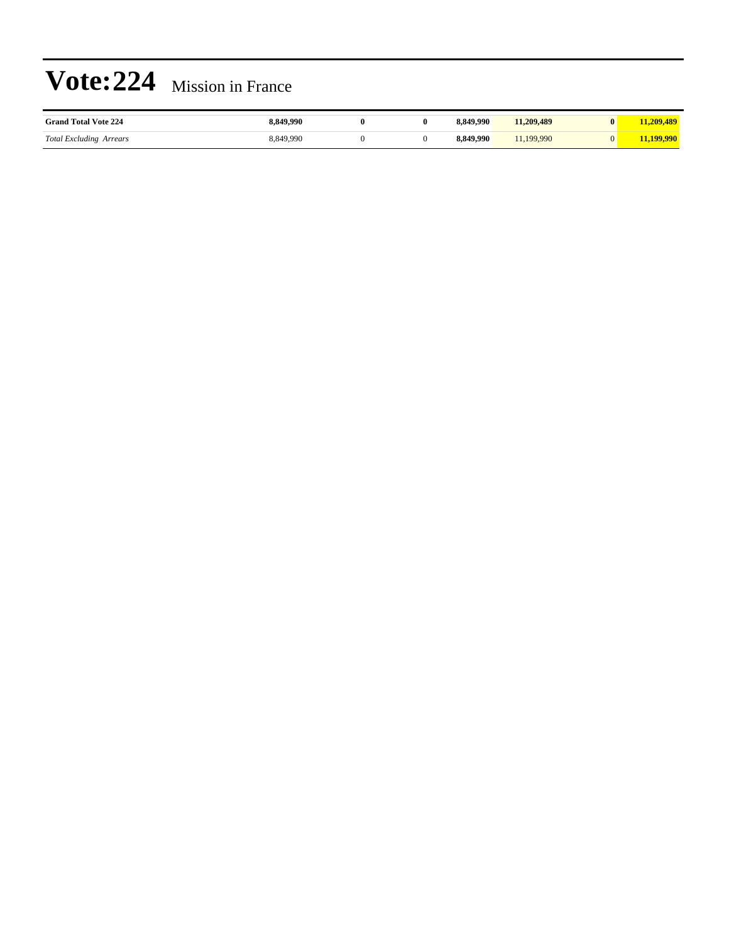| <b>Grand Total Vote 224</b>               | - 991 | $_{0}$ | 49.990  | 1,209,489 | 400 |
|-------------------------------------------|-------|--------|---------|-----------|-----|
| <b>Total Excluding Arrears</b><br>$\circ$ |       |        | ി 990 - | .990      |     |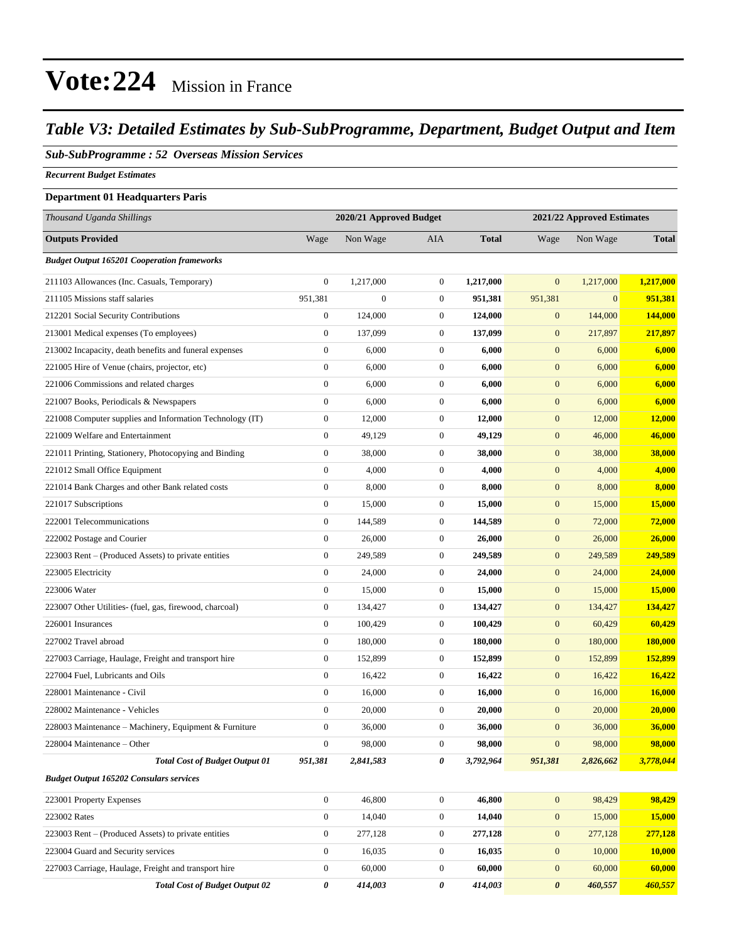### *Table V3: Detailed Estimates by Sub-SubProgramme, Department, Budget Output and Item*

#### *Sub-SubProgramme : 52 Overseas Mission Services*

*Recurrent Budget Estimates*

#### **Department 01 Headquarters Paris**

| Thousand Uganda Shillings                                |                  | 2020/21 Approved Budget |                  |              | 2021/22 Approved Estimates |              |               |
|----------------------------------------------------------|------------------|-------------------------|------------------|--------------|----------------------------|--------------|---------------|
| <b>Outputs Provided</b>                                  | Wage             | Non Wage                | AIA              | <b>Total</b> | Wage                       | Non Wage     | <b>Total</b>  |
| <b>Budget Output 165201 Cooperation frameworks</b>       |                  |                         |                  |              |                            |              |               |
| 211103 Allowances (Inc. Casuals, Temporary)              | $\mathbf{0}$     | 1,217,000               | $\mathbf{0}$     | 1,217,000    | $\mathbf{0}$               | 1,217,000    | 1,217,000     |
| 211105 Missions staff salaries                           | 951,381          | $\boldsymbol{0}$        | $\boldsymbol{0}$ | 951,381      | 951,381                    | $\mathbf{0}$ | 951,381       |
| 212201 Social Security Contributions                     | $\boldsymbol{0}$ | 124,000                 | $\boldsymbol{0}$ | 124,000      | $\mathbf{0}$               | 144,000      | 144,000       |
| 213001 Medical expenses (To employees)                   | $\mathbf{0}$     | 137,099                 | $\boldsymbol{0}$ | 137,099      | $\mathbf{0}$               | 217,897      | 217,897       |
| 213002 Incapacity, death benefits and funeral expenses   | $\boldsymbol{0}$ | 6,000                   | $\mathbf{0}$     | 6,000        | $\boldsymbol{0}$           | 6,000        | 6,000         |
| 221005 Hire of Venue (chairs, projector, etc)            | $\boldsymbol{0}$ | 6,000                   | $\boldsymbol{0}$ | 6,000        | $\mathbf{0}$               | 6,000        | 6,000         |
| 221006 Commissions and related charges                   | $\boldsymbol{0}$ | 6,000                   | $\boldsymbol{0}$ | 6,000        | $\mathbf{0}$               | 6,000        | 6,000         |
| 221007 Books, Periodicals & Newspapers                   | $\boldsymbol{0}$ | 6,000                   | $\boldsymbol{0}$ | 6,000        | $\mathbf{0}$               | 6,000        | 6,000         |
| 221008 Computer supplies and Information Technology (IT) | $\boldsymbol{0}$ | 12,000                  | $\boldsymbol{0}$ | 12,000       | $\mathbf{0}$               | 12,000       | <b>12,000</b> |
| 221009 Welfare and Entertainment                         | $\mathbf{0}$     | 49,129                  | $\mathbf{0}$     | 49,129       | $\boldsymbol{0}$           | 46,000       | 46,000        |
| 221011 Printing, Stationery, Photocopying and Binding    | $\mathbf{0}$     | 38,000                  | $\boldsymbol{0}$ | 38,000       | $\boldsymbol{0}$           | 38,000       | 38,000        |
| 221012 Small Office Equipment                            | $\boldsymbol{0}$ | 4,000                   | $\boldsymbol{0}$ | 4,000        | $\mathbf{0}$               | 4,000        | 4,000         |
| 221014 Bank Charges and other Bank related costs         | $\boldsymbol{0}$ | 8,000                   | $\boldsymbol{0}$ | 8,000        | $\mathbf{0}$               | 8,000        | 8,000         |
| 221017 Subscriptions                                     | $\boldsymbol{0}$ | 15,000                  | $\boldsymbol{0}$ | 15,000       | $\mathbf{0}$               | 15,000       | <b>15,000</b> |
| 222001 Telecommunications                                | $\mathbf{0}$     | 144,589                 | $\mathbf{0}$     | 144,589      | $\boldsymbol{0}$           | 72,000       | 72,000        |
| 222002 Postage and Courier                               | $\boldsymbol{0}$ | 26,000                  | $\boldsymbol{0}$ | 26,000       | $\mathbf{0}$               | 26,000       | 26,000        |
| 223003 Rent – (Produced Assets) to private entities      | $\mathbf{0}$     | 249,589                 | $\boldsymbol{0}$ | 249,589      | $\mathbf{0}$               | 249,589      | 249,589       |
| 223005 Electricity                                       | $\mathbf{0}$     | 24,000                  | $\boldsymbol{0}$ | 24,000       | $\mathbf{0}$               | 24,000       | 24,000        |
| 223006 Water                                             | $\mathbf{0}$     | 15,000                  | $\boldsymbol{0}$ | 15,000       | $\mathbf{0}$               | 15,000       | <b>15,000</b> |
| 223007 Other Utilities- (fuel, gas, firewood, charcoal)  | $\mathbf{0}$     | 134,427                 | $\mathbf{0}$     | 134,427      | $\boldsymbol{0}$           | 134,427      | 134,427       |
| 226001 Insurances                                        | $\mathbf{0}$     | 100,429                 | $\boldsymbol{0}$ | 100,429      | $\mathbf{0}$               | 60,429       | 60,429        |
| 227002 Travel abroad                                     | $\mathbf{0}$     | 180,000                 | $\boldsymbol{0}$ | 180,000      | $\mathbf{0}$               | 180,000      | 180,000       |
| 227003 Carriage, Haulage, Freight and transport hire     | $\mathbf{0}$     | 152,899                 | $\boldsymbol{0}$ | 152,899      | $\mathbf{0}$               | 152,899      | 152,899       |
| 227004 Fuel, Lubricants and Oils                         | $\mathbf{0}$     | 16,422                  | $\boldsymbol{0}$ | 16,422       | $\mathbf{0}$               | 16,422       | 16,422        |
| 228001 Maintenance - Civil                               | $\boldsymbol{0}$ | 16,000                  | $\mathbf{0}$     | 16,000       | $\boldsymbol{0}$           | 16,000       | <b>16,000</b> |
| 228002 Maintenance - Vehicles                            | $\boldsymbol{0}$ | 20,000                  | $\boldsymbol{0}$ | 20,000       | $\boldsymbol{0}$           | 20,000       | 20,000        |
| 228003 Maintenance - Machinery, Equipment & Furniture    | $\boldsymbol{0}$ | 36,000                  | $\boldsymbol{0}$ | 36,000       | $\mathbf{0}$               | 36,000       | 36,000        |
| 228004 Maintenance – Other                               | $\boldsymbol{0}$ | 98,000                  | $\boldsymbol{0}$ | 98,000       | $\mathbf{0}$               | 98,000       | 98,000        |
| <b>Total Cost of Budget Output 01</b>                    | 951,381          | 2,841,583               | 0                | 3,792,964    | 951,381                    | 2,826,662    | 3,778,044     |
| <b>Budget Output 165202 Consulars services</b>           |                  |                         |                  |              |                            |              |               |
| 223001 Property Expenses                                 | $\boldsymbol{0}$ | 46,800                  | $\boldsymbol{0}$ | 46,800       | $\mathbf{0}$               | 98,429       | 98,429        |
| 223002 Rates                                             | $\mathbf{0}$     | 14,040                  | $\boldsymbol{0}$ | 14,040       | $\boldsymbol{0}$           | 15,000       | 15,000        |
| 223003 Rent – (Produced Assets) to private entities      | $\mathbf{0}$     | 277,128                 | $\boldsymbol{0}$ | 277,128      | $\boldsymbol{0}$           | 277,128      | 277,128       |
| 223004 Guard and Security services                       | $\boldsymbol{0}$ | 16,035                  | 0                | 16,035       | $\boldsymbol{0}$           | 10,000       | 10,000        |
| 227003 Carriage, Haulage, Freight and transport hire     | $\mathbf{0}$     | 60,000                  | $\boldsymbol{0}$ | 60,000       | $\mathbf{0}$               | 60,000       | 60,000        |

*Total Cost of Budget Output 02 0 414,003 0 414,003 0 460,557 460,557*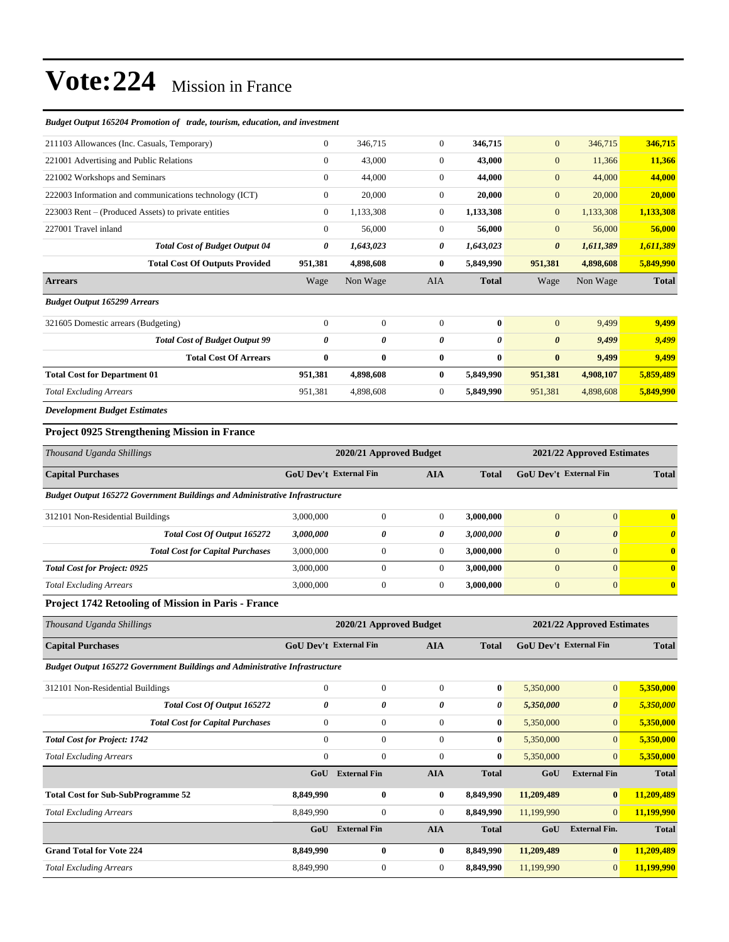| Budget Output 165204 Promotion of trade, tourism, education, and investment |                               |                |                |              |                               |                |              |
|-----------------------------------------------------------------------------|-------------------------------|----------------|----------------|--------------|-------------------------------|----------------|--------------|
| 211103 Allowances (Inc. Casuals, Temporary)                                 | $\mathbf{0}$                  | 346,715        | $\overline{0}$ | 346,715      | $\overline{0}$                | 346,715        | 346,715      |
| 221001 Advertising and Public Relations                                     | $\theta$                      | 43,000         | $\overline{0}$ | 43,000       | $\overline{0}$                | 11,366         | 11,366       |
| 221002 Workshops and Seminars                                               | $\Omega$                      | 44,000         | $\mathbf{0}$   | 44,000       | $\overline{0}$                | 44,000         | 44,000       |
| 222003 Information and communications technology (ICT)                      | $\Omega$                      | 20,000         | $\mathbf{0}$   | 20,000       | $\overline{0}$                | 20,000         | 20,000       |
| 223003 Rent - (Produced Assets) to private entities                         | $\mathbf{0}$                  | 1,133,308      | $\mathbf{0}$   | 1,133,308    | $\overline{0}$                | 1,133,308      | 1,133,308    |
| 227001 Travel inland                                                        | $\mathbf{0}$                  | 56,000         | $\mathbf{0}$   | 56,000       | $\overline{0}$                | 56,000         | 56,000       |
| <b>Total Cost of Budget Output 04</b>                                       | 0                             | 1,643,023      | 0              | 1,643,023    | $\boldsymbol{\theta}$         | 1,611,389      | 1,611,389    |
| <b>Total Cost Of Outputs Provided</b>                                       | 951,381                       | 4,898,608      | $\bf{0}$       | 5,849,990    | 951,381                       | 4,898,608      | 5,849,990    |
| <b>Arrears</b>                                                              | Wage                          | Non Wage       | <b>AIA</b>     | <b>Total</b> | Wage                          | Non Wage       | <b>Total</b> |
| <b>Budget Output 165299 Arrears</b>                                         |                               |                |                |              |                               |                |              |
| 321605 Domestic arrears (Budgeting)                                         | $\mathbf{0}$                  | $\overline{0}$ | $\overline{0}$ | $\bf{0}$     | $\overline{0}$                | 9,499          | 9,499        |
| <b>Total Cost of Budget Output 99</b>                                       | 0                             | 0              | 0              | 0            | $\boldsymbol{\theta}$         | 9,499          | 9,499        |
| <b>Total Cost Of Arrears</b>                                                | $\bf{0}$                      | $\bf{0}$       | 0              | $\bf{0}$     | $\bf{0}$                      | 9,499          | 9,499        |
| <b>Total Cost for Department 01</b>                                         | 951,381                       | 4,898,608      | 0              | 5,849,990    | 951,381                       | 4,908,107      | 5,859,489    |
| <b>Total Excluding Arrears</b>                                              | 951,381                       | 4,898,608      | $\mathbf{0}$   | 5,849,990    | 951,381                       | 4,898,608      | 5,849,990    |
| <b>Development Budget Estimates</b>                                         |                               |                |                |              |                               |                |              |
| <b>Project 0925 Strengthening Mission in France</b>                         |                               |                |                |              |                               |                |              |
| Thousand Uganda Shillings                                                   | 2020/21 Approved Budget       |                |                |              | 2021/22 Approved Estimates    |                |              |
| <b>Capital Purchases</b>                                                    | <b>GoU Dev't External Fin</b> |                | <b>AIA</b>     | <b>Total</b> | <b>GoU Dev't External Fin</b> |                | <b>Total</b> |
| Budget Output 165272 Government Buildings and Administrative Infrastructure |                               |                |                |              |                               |                |              |
| 312101 Non-Residential Buildings                                            | 3,000,000                     | $\mathbf{0}$   | $\mathbf{0}$   | 3,000,000    | $\Omega$                      | $\overline{0}$ | $\bf{0}$     |
| Total Cost Of Output 165272                                                 | 2 ANN ANN                     | $\theta$       | $\theta$       | 3.000.000    | $\mathbf{r}$                  | $\sqrt{ }$     |              |

| Total Cost Of Output 165272             | 3,000,000 |  | 3.000.000 | U |  |
|-----------------------------------------|-----------|--|-----------|---|--|
| <b>Total Cost for Capital Purchases</b> | 3,000,000 |  | 3,000,000 | 0 |  |
| <b>Total Cost for Project: 0925</b>     | 3,000,000 |  | 3,000,000 | Ü |  |
| <b>Total Excluding Arrears</b>          | 3,000,000 |  | 3,000,000 | 0 |  |

### **Project 1742 Retooling of Mission in Paris - France**

| Thousand Uganda Shillings                                                          |                               | 2020/21 Approved Budget |            | 2021/22 Approved Estimates |                               |                       |              |
|------------------------------------------------------------------------------------|-------------------------------|-------------------------|------------|----------------------------|-------------------------------|-----------------------|--------------|
| <b>Capital Purchases</b>                                                           | <b>GoU Dev't External Fin</b> |                         | <b>AIA</b> |                            | <b>GoU Dev't External Fin</b> |                       | <b>Total</b> |
| <b>Budget Output 165272 Government Buildings and Administrative Infrastructure</b> |                               |                         |            |                            |                               |                       |              |
| 312101 Non-Residential Buildings                                                   | $\mathbf{0}$                  | $\mathbf{0}$            | $\Omega$   | $\bf{0}$                   | 5,350,000                     | $\mathbf{0}$          | 5,350,000    |
| Total Cost Of Output 165272                                                        | 0                             | 0                       | 0          | $\boldsymbol{\theta}$      | 5,350,000                     | $\boldsymbol{\theta}$ | 5,350,000    |
| <b>Total Cost for Capital Purchases</b>                                            | $\mathbf{0}$                  | $\mathbf{0}$            | $\Omega$   | $\bf{0}$                   | 5,350,000                     | $\overline{0}$        | 5,350,000    |
| <b>Total Cost for Project: 1742</b>                                                | $\mathbf{0}$                  | $\mathbf{0}$            | $\theta$   | $\bf{0}$                   | 5,350,000                     | $\mathbf{0}$          | 5,350,000    |
| <b>Total Excluding Arrears</b>                                                     | $\Omega$                      | $\mathbf{0}$            | $\Omega$   | $\bf{0}$                   | 5,350,000                     | $\mathbf{0}$          | 5,350,000    |
|                                                                                    | GoU                           | <b>External Fin</b>     | <b>AIA</b> | <b>Total</b>               | GoU                           | <b>External Fin</b>   | <b>Total</b> |
| <b>Total Cost for Sub-SubProgramme 52</b>                                          | 8,849,990                     | $\bf{0}$                | $\bf{0}$   | 8,849,990                  | 11,209,489                    | $\bf{0}$              | 11,209,489   |
| <b>Total Excluding Arrears</b>                                                     | 8,849,990                     | $\overline{0}$          | $\theta$   | 8,849,990                  | 11,199,990                    | $\mathbf{0}$          | 11,199,990   |
|                                                                                    | GoU                           | <b>External Fin</b>     | <b>AIA</b> | <b>Total</b>               | GoU                           | <b>External Fin.</b>  | <b>Total</b> |
| <b>Grand Total for Vote 224</b>                                                    | 8,849,990                     | $\bf{0}$                | $\bf{0}$   | 8,849,990                  | 11,209,489                    | $\bf{0}$              | 11,209,489   |
| <b>Total Excluding Arrears</b>                                                     | 8,849,990                     | $\boldsymbol{0}$        | $\theta$   | 8,849,990                  | 11,199,990                    | $\mathbf{0}$          | 11,199,990   |